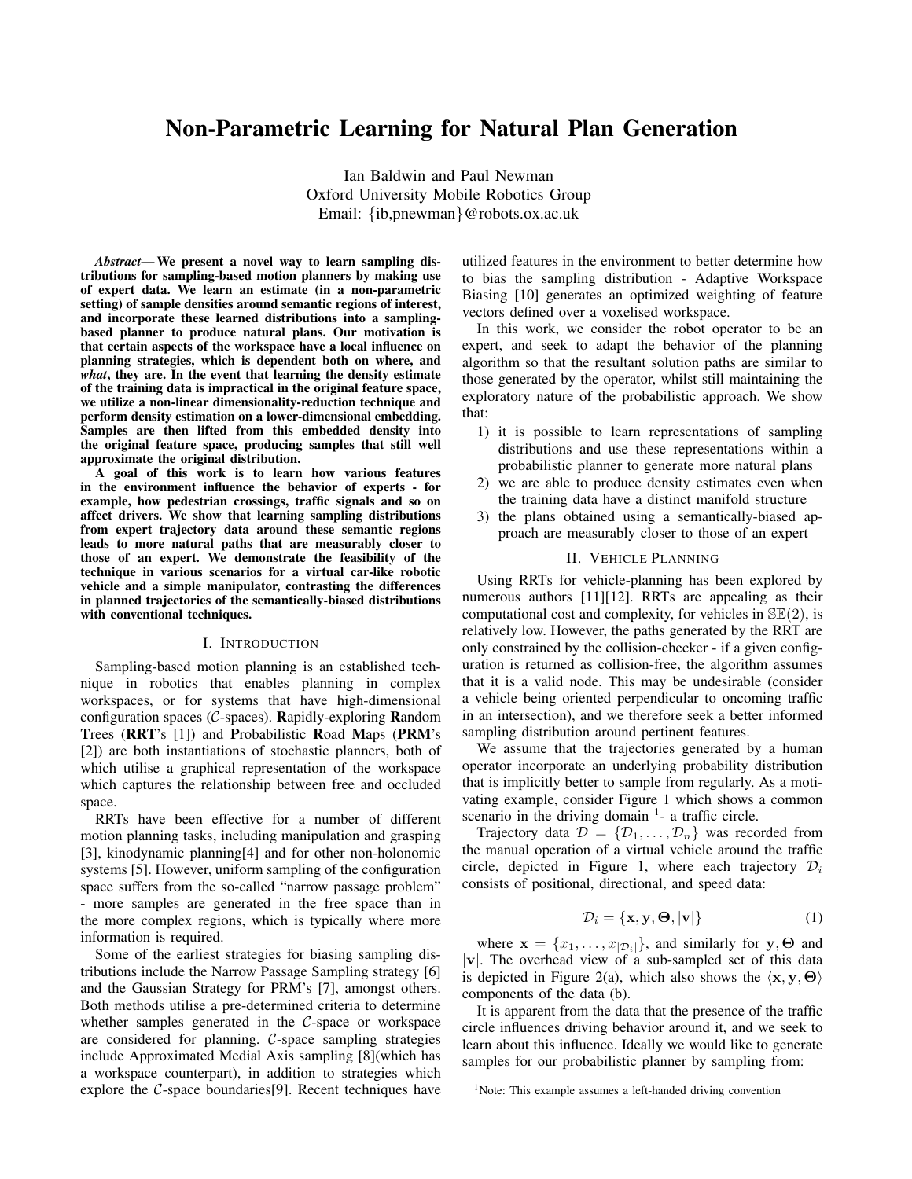# Non-Parametric Learning for Natural Plan Generation

Ian Baldwin and Paul Newman Oxford University Mobile Robotics Group Email: {ib,pnewman}@robots.ox.ac.uk

*Abstract*— We present a novel way to learn sampling distributions for sampling-based motion planners by making use of expert data. We learn an estimate (in a non-parametric setting) of sample densities around semantic regions of interest, and incorporate these learned distributions into a samplingbased planner to produce natural plans. Our motivation is that certain aspects of the workspace have a local influence on planning strategies, which is dependent both on where, and *what*, they are. In the event that learning the density estimate of the training data is impractical in the original feature space, we utilize a non-linear dimensionality-reduction technique and perform density estimation on a lower-dimensional embedding. Samples are then lifted from this embedded density into the original feature space, producing samples that still well approximate the original distribution.

A goal of this work is to learn how various features in the environment influence the behavior of experts - for example, how pedestrian crossings, traffic signals and so on affect drivers. We show that learning sampling distributions from expert trajectory data around these semantic regions leads to more natural paths that are measurably closer to those of an expert. We demonstrate the feasibility of the technique in various scenarios for a virtual car-like robotic vehicle and a simple manipulator, contrasting the differences in planned trajectories of the semantically-biased distributions with conventional techniques.

#### I. INTRODUCTION

Sampling-based motion planning is an established technique in robotics that enables planning in complex workspaces, or for systems that have high-dimensional configuration spaces ( $C$ -spaces). Rapidly-exploring Random Trees (RRT's [1]) and Probabilistic Road Maps (PRM's [2]) are both instantiations of stochastic planners, both of which utilise a graphical representation of the workspace which captures the relationship between free and occluded space.

RRTs have been effective for a number of different motion planning tasks, including manipulation and grasping [3], kinodynamic planning[4] and for other non-holonomic systems [5]. However, uniform sampling of the configuration space suffers from the so-called "narrow passage problem" - more samples are generated in the free space than in the more complex regions, which is typically where more information is required.

Some of the earliest strategies for biasing sampling distributions include the Narrow Passage Sampling strategy [6] and the Gaussian Strategy for PRM's [7], amongst others. Both methods utilise a pre-determined criteria to determine whether samples generated in the C-space or workspace are considered for planning. C-space sampling strategies include Approximated Medial Axis sampling [8](which has a workspace counterpart), in addition to strategies which explore the C-space boundaries[9]. Recent techniques have utilized features in the environment to better determine how to bias the sampling distribution - Adaptive Workspace Biasing [10] generates an optimized weighting of feature vectors defined over a voxelised workspace.

In this work, we consider the robot operator to be an expert, and seek to adapt the behavior of the planning algorithm so that the resultant solution paths are similar to those generated by the operator, whilst still maintaining the exploratory nature of the probabilistic approach. We show that:

- 1) it is possible to learn representations of sampling distributions and use these representations within a probabilistic planner to generate more natural plans
- 2) we are able to produce density estimates even when the training data have a distinct manifold structure
- 3) the plans obtained using a semantically-biased approach are measurably closer to those of an expert

## II. VEHICLE PLANNING

Using RRTs for vehicle-planning has been explored by numerous authors [11][12]. RRTs are appealing as their computational cost and complexity, for vehicles in  $\mathbb{SE}(2)$ , is relatively low. However, the paths generated by the RRT are only constrained by the collision-checker - if a given configuration is returned as collision-free, the algorithm assumes that it is a valid node. This may be undesirable (consider a vehicle being oriented perpendicular to oncoming traffic in an intersection), and we therefore seek a better informed sampling distribution around pertinent features.

We assume that the trajectories generated by a human operator incorporate an underlying probability distribution that is implicitly better to sample from regularly. As a motivating example, consider Figure 1 which shows a common scenario in the driving domain  $<sup>1</sup>$ - a traffic circle.</sup>

Trajectory data  $\mathcal{D} = \{\mathcal{D}_1, \dots, \mathcal{D}_n\}$  was recorded from the manual operation of a virtual vehicle around the traffic circle, depicted in Figure 1, where each trajectory  $\mathcal{D}_i$ consists of positional, directional, and speed data:

$$
\mathcal{D}_i = \{ \mathbf{x}, \mathbf{y}, \mathbf{\Theta}, |\mathbf{v}| \} \tag{1}
$$

where  $\mathbf{x} = \{x_1, \dots, x_{|\mathcal{D}_i|}\}$ , and similarly for  $\mathbf{y}, \boldsymbol{\Theta}$  and |v|. The overhead view of a sub-sampled set of this data is depicted in Figure 2(a), which also shows the  $\langle x, y, \Theta \rangle$ components of the data (b).

It is apparent from the data that the presence of the traffic circle influences driving behavior around it, and we seek to learn about this influence. Ideally we would like to generate samples for our probabilistic planner by sampling from:

<sup>&</sup>lt;sup>1</sup>Note: This example assumes a left-handed driving convention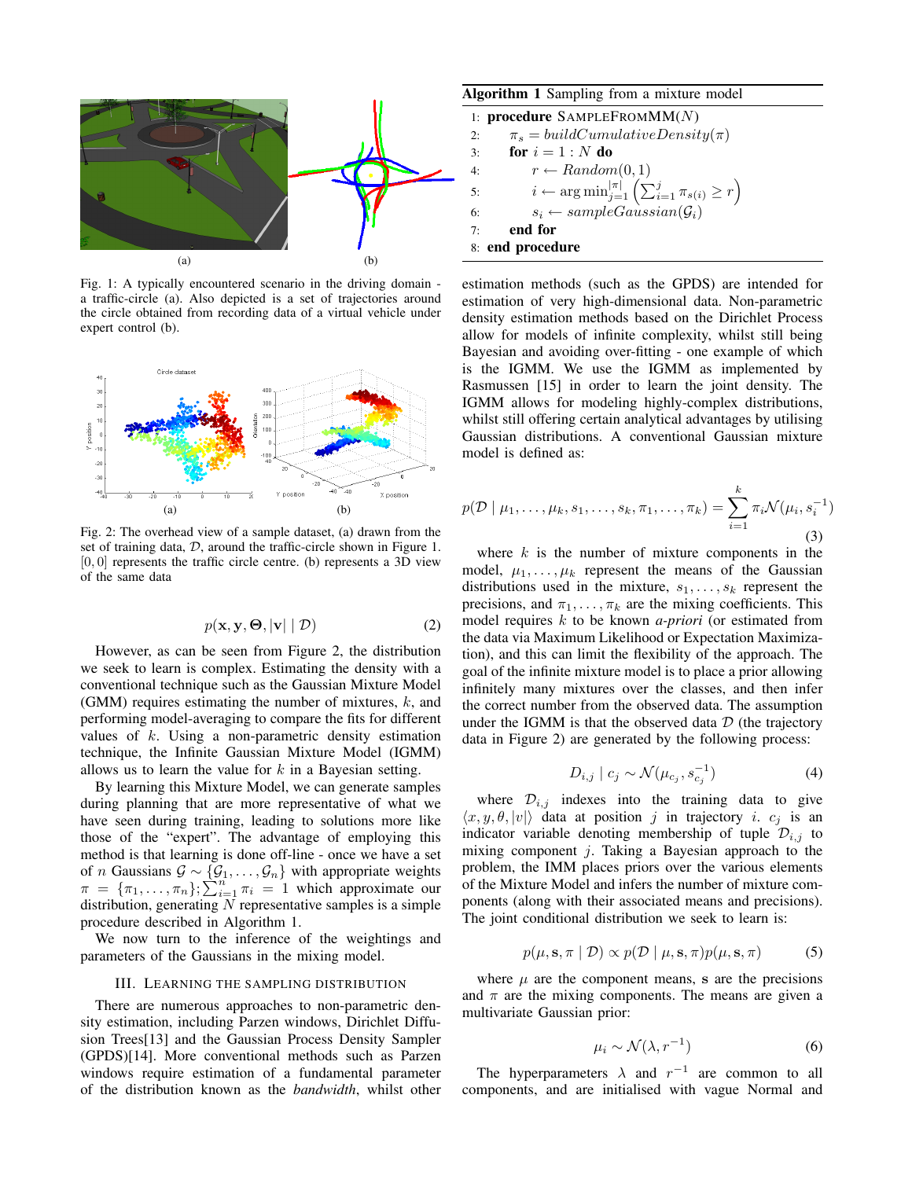

Fig. 1: A typically encountered scenario in the driving domain a traffic-circle (a). Also depicted is a set of trajectories around the circle obtained from recording data of a virtual vehicle under expert control (b).



Fig. 2: The overhead view of a sample dataset, (a) drawn from the set of training data, D, around the traffic-circle shown in Figure 1.  $[0, 0]$  represents the traffic circle centre. (b) represents a 3D view of the same data

$$
p(\mathbf{x}, \mathbf{y}, \boldsymbol{\Theta}, |\mathbf{v}| \mid \mathcal{D}) \tag{2}
$$

However, as can be seen from Figure 2, the distribution we seek to learn is complex. Estimating the density with a conventional technique such as the Gaussian Mixture Model (GMM) requires estimating the number of mixtures,  $k$ , and performing model-averaging to compare the fits for different values of k. Using a non-parametric density estimation technique, the Infinite Gaussian Mixture Model (IGMM) allows us to learn the value for  $k$  in a Bayesian setting.

By learning this Mixture Model, we can generate samples during planning that are more representative of what we have seen during training, leading to solutions more like those of the "expert". The advantage of employing this method is that learning is done off-line - once we have a set of *n* Gaussians  $\mathcal{G} \sim \{\mathcal{G}_1, \ldots, \mathcal{G}_n\}$  with appropriate weights  $\pi = {\pi_1, \ldots, \pi_n}; \sum_{i=1}^{n} \pi_i = 1$  which approximate our distribution, generating  $N$  representative samples is a simple procedure described in Algorithm 1.

We now turn to the inference of the weightings and parameters of the Gaussians in the mixing model.

## III. LEARNING THE SAMPLING DISTRIBUTION

There are numerous approaches to non-parametric density estimation, including Parzen windows, Dirichlet Diffusion Trees[13] and the Gaussian Process Density Sampler (GPDS)[14]. More conventional methods such as Parzen windows require estimation of a fundamental parameter of the distribution known as the *bandwidth*, whilst other

Algorithm 1 Sampling from a mixture model

|                  | 1: procedure $SAMPLE$ FROM $MM(N)$                                                     |  |
|------------------|----------------------------------------------------------------------------------------|--|
| 2:               | $\pi_s = buildCumulative Density(\pi)$                                                 |  |
| 3:               | for $i=1:N$ do                                                                         |  |
| 4:               | $r \leftarrow Random(0,1)$                                                             |  |
| 5:               | $i \leftarrow \arg \min_{j=1}^{ \pi } \left( \sum_{i=1}^{j} \pi_{s(i)} \geq r \right)$ |  |
| 6:               | $s_i \leftarrow sampleGaussian(\mathcal{G}_i)$                                         |  |
| 7:               | end for                                                                                |  |
| 8: end procedure |                                                                                        |  |

estimation methods (such as the GPDS) are intended for estimation of very high-dimensional data. Non-parametric density estimation methods based on the Dirichlet Process allow for models of infinite complexity, whilst still being Bayesian and avoiding over-fitting - one example of which is the IGMM. We use the IGMM as implemented by Rasmussen [15] in order to learn the joint density. The IGMM allows for modeling highly-complex distributions, whilst still offering certain analytical advantages by utilising Gaussian distributions. A conventional Gaussian mixture model is defined as:

$$
p(\mathcal{D} \mid \mu_1, \dots, \mu_k, s_1, \dots, s_k, \pi_1, \dots, \pi_k) = \sum_{i=1}^k \pi_i \mathcal{N}(\mu_i, s_i^{-1})
$$
\n(3)

where  $k$  is the number of mixture components in the model,  $\mu_1, \ldots, \mu_k$  represent the means of the Gaussian distributions used in the mixture,  $s_1, \ldots, s_k$  represent the precisions, and  $\pi_1, \ldots, \pi_k$  are the mixing coefficients. This model requires k to be known *a-priori* (or estimated from the data via Maximum Likelihood or Expectation Maximization), and this can limit the flexibility of the approach. The goal of the infinite mixture model is to place a prior allowing infinitely many mixtures over the classes, and then infer the correct number from the observed data. The assumption under the IGMM is that the observed data  $D$  (the trajectory data in Figure 2) are generated by the following process:

$$
D_{i,j} \mid c_j \sim \mathcal{N}(\mu_{c_j}, s_{c_j}^{-1})
$$
 (4)

where  $\mathcal{D}_{i,j}$  indexes into the training data to give  $\langle x, y, \theta, |v| \rangle$  data at position j in trajectory i.  $c_j$  is an indicator variable denoting membership of tuple  $\mathcal{D}_{i,j}$  to mixing component  $j$ . Taking a Bayesian approach to the problem, the IMM places priors over the various elements of the Mixture Model and infers the number of mixture components (along with their associated means and precisions). The joint conditional distribution we seek to learn is:

$$
p(\mu, \mathbf{s}, \pi \mid \mathcal{D}) \propto p(\mathcal{D} \mid \mu, \mathbf{s}, \pi) p(\mu, \mathbf{s}, \pi) \tag{5}
$$

where  $\mu$  are the component means, s are the precisions and  $\pi$  are the mixing components. The means are given a multivariate Gaussian prior:

$$
\mu_i \sim \mathcal{N}(\lambda, r^{-1}) \tag{6}
$$

The hyperparameters  $\lambda$  and  $r^{-1}$  are common to all components, and are initialised with vague Normal and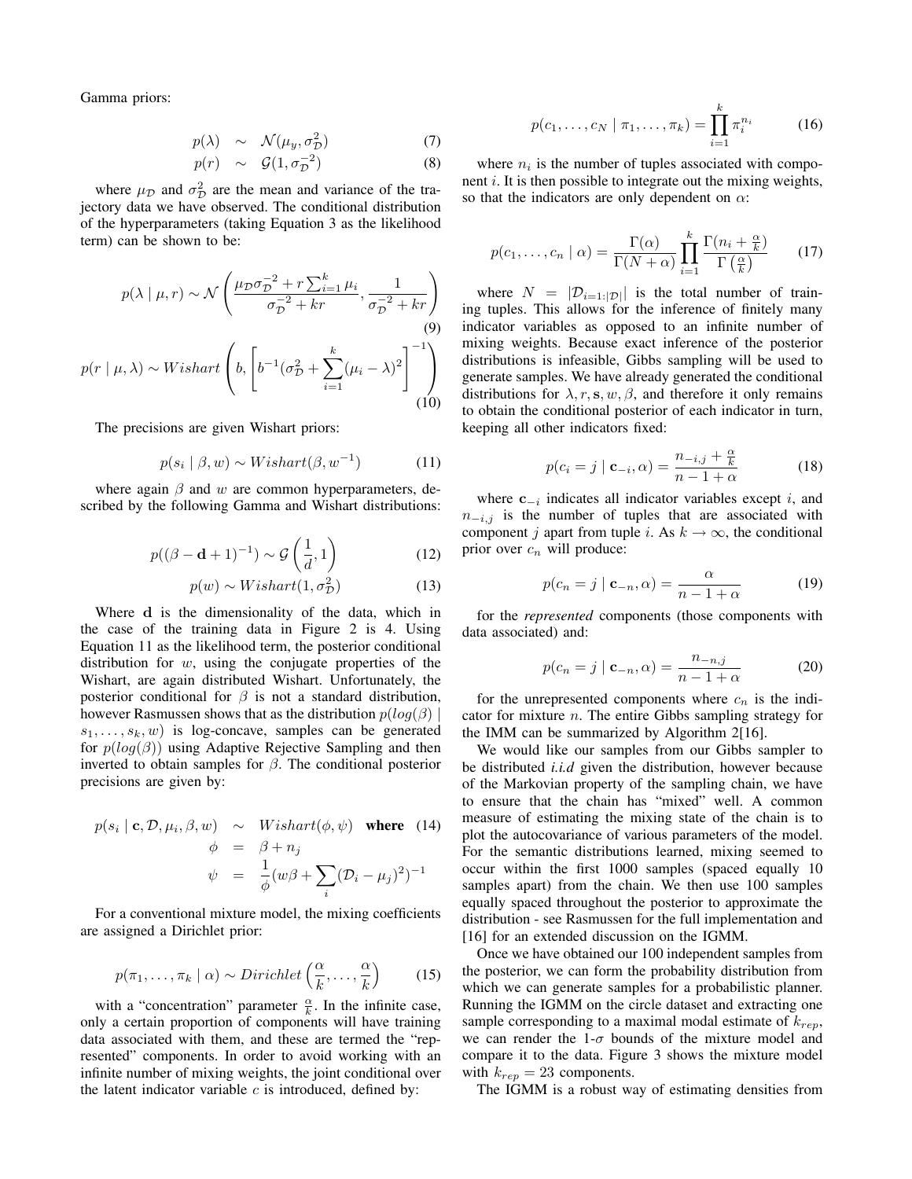Gamma priors:

$$
p(\lambda) \sim \mathcal{N}(\mu_y, \sigma_{\mathcal{D}}^2)
$$
 (7)

$$
p(r) \sim \mathcal{G}(1, \sigma_{\mathcal{D}}^{-2}) \tag{8}
$$

where  $\mu_{\mathcal{D}}$  and  $\sigma_{\mathcal{D}}^2$  are the mean and variance of the trajectory data we have observed. The conditional distribution of the hyperparameters (taking Equation 3 as the likelihood term) can be shown to be:

$$
p(\lambda \mid \mu, r) \sim \mathcal{N}\left(\frac{\mu_{\mathcal{D}}\sigma_{\mathcal{D}}^{-2} + r\sum_{i=1}^{k}\mu_{i}}{\sigma_{\mathcal{D}}^{-2} + kr}, \frac{1}{\sigma_{\mathcal{D}}^{-2} + kr}\right)
$$
\n
$$
p(r \mid \mu, \lambda) \sim Wishart\left(b, \left[b^{-1}(\sigma_{\mathcal{D}}^{2} + \sum_{i=1}^{k}(\mu_{i} - \lambda)^{2}\right]^{-1}\right)
$$
\n(10)

The precisions are given Wishart priors:

$$
p(s_i \mid \beta, w) \sim Wishart(\beta, w^{-1})\tag{11}
$$

where again  $\beta$  and w are common hyperparameters, described by the following Gamma and Wishart distributions:

$$
p((\beta - \mathbf{d} + 1)^{-1}) \sim \mathcal{G}\left(\frac{1}{d}, 1\right) \tag{12}
$$

$$
p(w) \sim Wishart(1, \sigma_{\mathcal{D}}^2)
$$
 (13)

Where d is the dimensionality of the data, which in the case of the training data in Figure 2 is 4. Using Equation 11 as the likelihood term, the posterior conditional distribution for  $w$ , using the conjugate properties of the Wishart, are again distributed Wishart. Unfortunately, the posterior conditional for  $\beta$  is not a standard distribution, however Rasmussen shows that as the distribution  $p(log(\beta))$  $s_1, \ldots, s_k, w$  is log-concave, samples can be generated for  $p(log(\beta))$  using Adaptive Rejective Sampling and then inverted to obtain samples for  $\beta$ . The conditional posterior precisions are given by:

$$
p(s_i \mid \mathbf{c}, \mathcal{D}, \mu_i, \beta, w) \sim Wishart(\phi, \psi) \text{ where } (14)
$$
  
\n
$$
\phi = \beta + n_j
$$
  
\n
$$
\psi = \frac{1}{\phi} (w\beta + \sum_i (\mathcal{D}_i - \mu_j)^2)^{-1}
$$

For a conventional mixture model, the mixing coefficients are assigned a Dirichlet prior:

$$
p(\pi_1, \ldots, \pi_k \mid \alpha) \sim Dirichlet\left(\frac{\alpha}{k}, \ldots, \frac{\alpha}{k}\right) \tag{15}
$$

with a "concentration" parameter  $\frac{\alpha}{k}$ . In the infinite case, only a certain proportion of components will have training data associated with them, and these are termed the "represented" components. In order to avoid working with an infinite number of mixing weights, the joint conditional over the latent indicator variable  $c$  is introduced, defined by:

$$
p(c_1, ..., c_N | \pi_1, ..., \pi_k) = \prod_{i=1}^k \pi_i^{n_i}
$$
 (16)

where  $n_i$  is the number of tuples associated with component  $i$ . It is then possible to integrate out the mixing weights, so that the indicators are only dependent on  $\alpha$ :

$$
p(c_1, \ldots, c_n \mid \alpha) = \frac{\Gamma(\alpha)}{\Gamma(N + \alpha)} \prod_{i=1}^k \frac{\Gamma(n_i + \frac{\alpha}{k})}{\Gamma(\frac{\alpha}{k})}
$$
(17)

where  $N = |\mathcal{D}_{i=1:|\mathcal{D}|}$  is the total number of training tuples. This allows for the inference of finitely many indicator variables as opposed to an infinite number of mixing weights. Because exact inference of the posterior distributions is infeasible, Gibbs sampling will be used to generate samples. We have already generated the conditional distributions for  $\lambda, r, s, w, \beta$ , and therefore it only remains to obtain the conditional posterior of each indicator in turn, keeping all other indicators fixed:

$$
p(c_i = j \mid \mathbf{c}_{-i}, \alpha) = \frac{n_{-i,j} + \frac{\alpha}{k}}{n - 1 + \alpha} \tag{18}
$$

where  $c_{-i}$  indicates all indicator variables except i, and  $n_{-i,j}$  is the number of tuples that are associated with component j apart from tuple i. As  $k \to \infty$ , the conditional prior over  $c_n$  will produce:

$$
p(c_n = j \mid \mathbf{c}_{-n}, \alpha) = \frac{\alpha}{n - 1 + \alpha} \tag{19}
$$

for the *represented* components (those components with data associated) and:

$$
p(c_n = j \mid \mathbf{c}_{-n}, \alpha) = \frac{n_{-n,j}}{n - 1 + \alpha} \tag{20}
$$

for the unrepresented components where  $c_n$  is the indicator for mixture  $n$ . The entire Gibbs sampling strategy for the IMM can be summarized by Algorithm 2[16].

We would like our samples from our Gibbs sampler to be distributed *i.i.d* given the distribution, however because of the Markovian property of the sampling chain, we have to ensure that the chain has "mixed" well. A common measure of estimating the mixing state of the chain is to plot the autocovariance of various parameters of the model. For the semantic distributions learned, mixing seemed to occur within the first 1000 samples (spaced equally 10 samples apart) from the chain. We then use 100 samples equally spaced throughout the posterior to approximate the distribution - see Rasmussen for the full implementation and [16] for an extended discussion on the IGMM.

Once we have obtained our 100 independent samples from the posterior, we can form the probability distribution from which we can generate samples for a probabilistic planner. Running the IGMM on the circle dataset and extracting one sample corresponding to a maximal modal estimate of  $k_{rev}$ , we can render the  $1-\sigma$  bounds of the mixture model and compare it to the data. Figure 3 shows the mixture model with  $k_{rep} = 23$  components.

The IGMM is a robust way of estimating densities from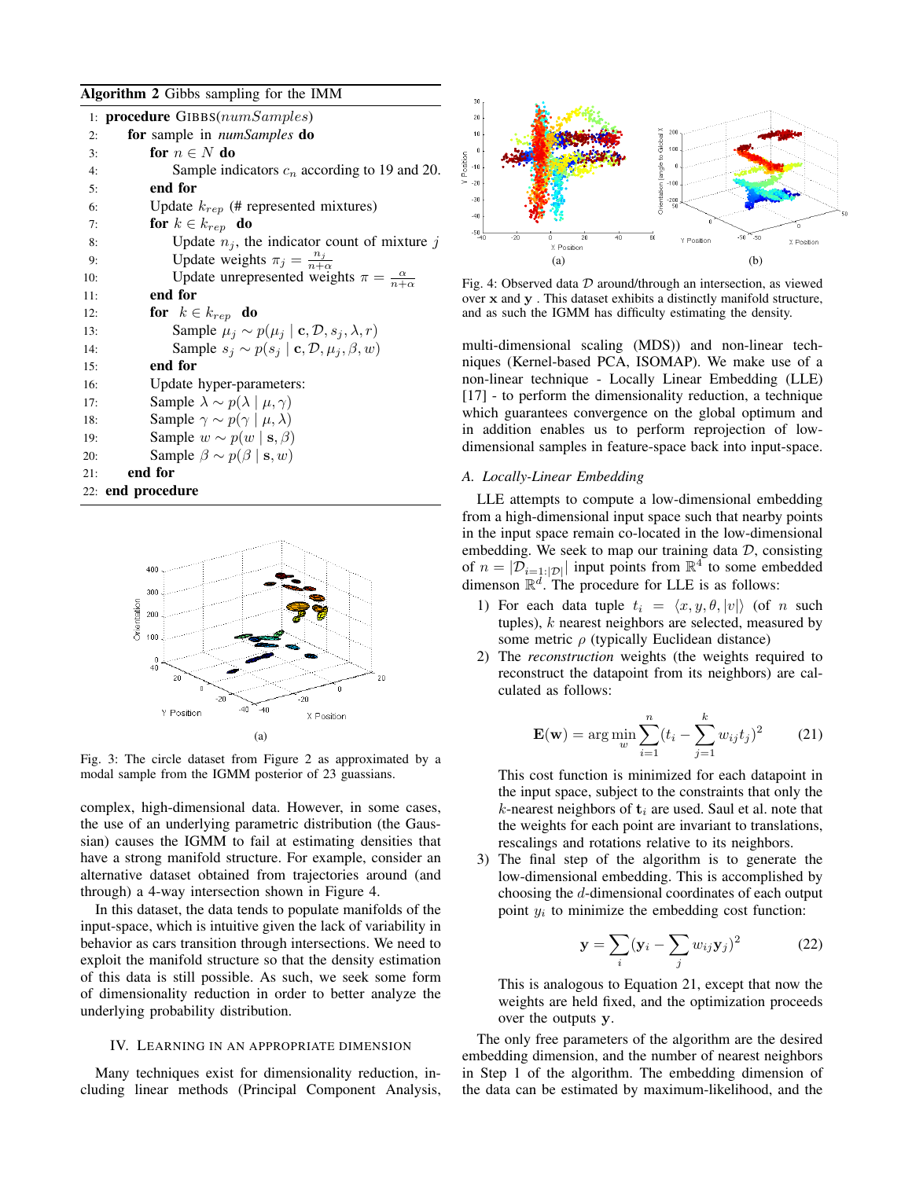Algorithm 2 Gibbs sampling for the IMM

|     | 1: <b>procedure</b> $GIBBS(numSamples)$                                    |
|-----|----------------------------------------------------------------------------|
| 2:  | <b>for</b> sample in <i>numSamples</i> <b>do</b>                           |
| 3:  | for $n \in N$ do                                                           |
| 4:  | Sample indicators $c_n$ according to 19 and 20.                            |
| 5:  | end for                                                                    |
| 6:  | Update $k_{rep}$ (# represented mixtures)                                  |
| 7:  | for $k \in k_{rep}$ do                                                     |
| 8:  | Update $n_j$ , the indicator count of mixture j                            |
| 9:  | Update weights $\pi_j = \frac{n_j}{n+\alpha}$                              |
| 10: | Update unrepresented weights $\pi = \frac{\alpha}{n+\alpha}$               |
| 11: | end for                                                                    |
| 12: | for $k \in k_{rep}$ do                                                     |
| 13: | Sample $\mu_i \sim p(\mu_i \mid \mathbf{c}, \mathcal{D}, s_i, \lambda, r)$ |
| 14: | Sample $s_i \sim p(s_i   \mathbf{c}, \mathcal{D}, \mu_i, \beta, w)$        |
| 15: | end for                                                                    |
| 16: | Update hyper-parameters:                                                   |
| 17: | Sample $\lambda \sim p(\lambda \mid \mu, \gamma)$                          |
| 18: | Sample $\gamma \sim p(\gamma \mid \mu, \lambda)$                           |
| 19: | Sample $w \sim p(w   \mathbf{s}, \beta)$                                   |
| 20: | Sample $\beta \sim p(\beta   \mathbf{s}, w)$                               |
| 21: | end for                                                                    |
|     | 22: end procedure                                                          |



Fig. 3: The circle dataset from Figure 2 as approximated by a modal sample from the IGMM posterior of 23 guassians.

complex, high-dimensional data. However, in some cases, the use of an underlying parametric distribution (the Gaussian) causes the IGMM to fail at estimating densities that have a strong manifold structure. For example, consider an alternative dataset obtained from trajectories around (and through) a 4-way intersection shown in Figure 4.

In this dataset, the data tends to populate manifolds of the input-space, which is intuitive given the lack of variability in behavior as cars transition through intersections. We need to exploit the manifold structure so that the density estimation of this data is still possible. As such, we seek some form of dimensionality reduction in order to better analyze the underlying probability distribution.

# IV. LEARNING IN AN APPROPRIATE DIMENSION

Many techniques exist for dimensionality reduction, including linear methods (Principal Component Analysis,



Fig. 4: Observed data  $D$  around/through an intersection, as viewed over x and y . This dataset exhibits a distinctly manifold structure, and as such the IGMM has difficulty estimating the density.

multi-dimensional scaling (MDS)) and non-linear techniques (Kernel-based PCA, ISOMAP). We make use of a non-linear technique - Locally Linear Embedding (LLE) [17] - to perform the dimensionality reduction, a technique which guarantees convergence on the global optimum and in addition enables us to perform reprojection of lowdimensional samples in feature-space back into input-space.

## *A. Locally-Linear Embedding*

LLE attempts to compute a low-dimensional embedding from a high-dimensional input space such that nearby points in the input space remain co-located in the low-dimensional embedding. We seek to map our training data  $D$ , consisting of  $n = |\mathcal{D}_{i=1:|\mathcal{D}|}$  input points from  $\mathbb{R}^4$  to some embedded dimenson  $\mathbb{R}^d$ . The procedure for LLE is as follows:

- 1) For each data tuple  $t_i = \langle x, y, \theta, |v|\rangle$  (of n such tuples),  $k$  nearest neighbors are selected, measured by some metric  $\rho$  (typically Euclidean distance)
- 2) The *reconstruction* weights (the weights required to reconstruct the datapoint from its neighbors) are calculated as follows:

$$
\mathbf{E}(\mathbf{w}) = \arg\min_{w} \sum_{i=1}^{n} (t_i - \sum_{j=1}^{k} w_{ij} t_j)^2
$$
 (21)

This cost function is minimized for each datapoint in the input space, subject to the constraints that only the k-nearest neighbors of  $t_i$  are used. Saul et al. note that the weights for each point are invariant to translations, rescalings and rotations relative to its neighbors.

3) The final step of the algorithm is to generate the low-dimensional embedding. This is accomplished by choosing the d-dimensional coordinates of each output point  $y_i$  to minimize the embedding cost function:

$$
\mathbf{y} = \sum_{i} (\mathbf{y}_i - \sum_{j} w_{ij} \mathbf{y}_j)^2
$$
 (22)

This is analogous to Equation 21, except that now the weights are held fixed, and the optimization proceeds over the outputs y.

The only free parameters of the algorithm are the desired embedding dimension, and the number of nearest neighbors in Step 1 of the algorithm. The embedding dimension of the data can be estimated by maximum-likelihood, and the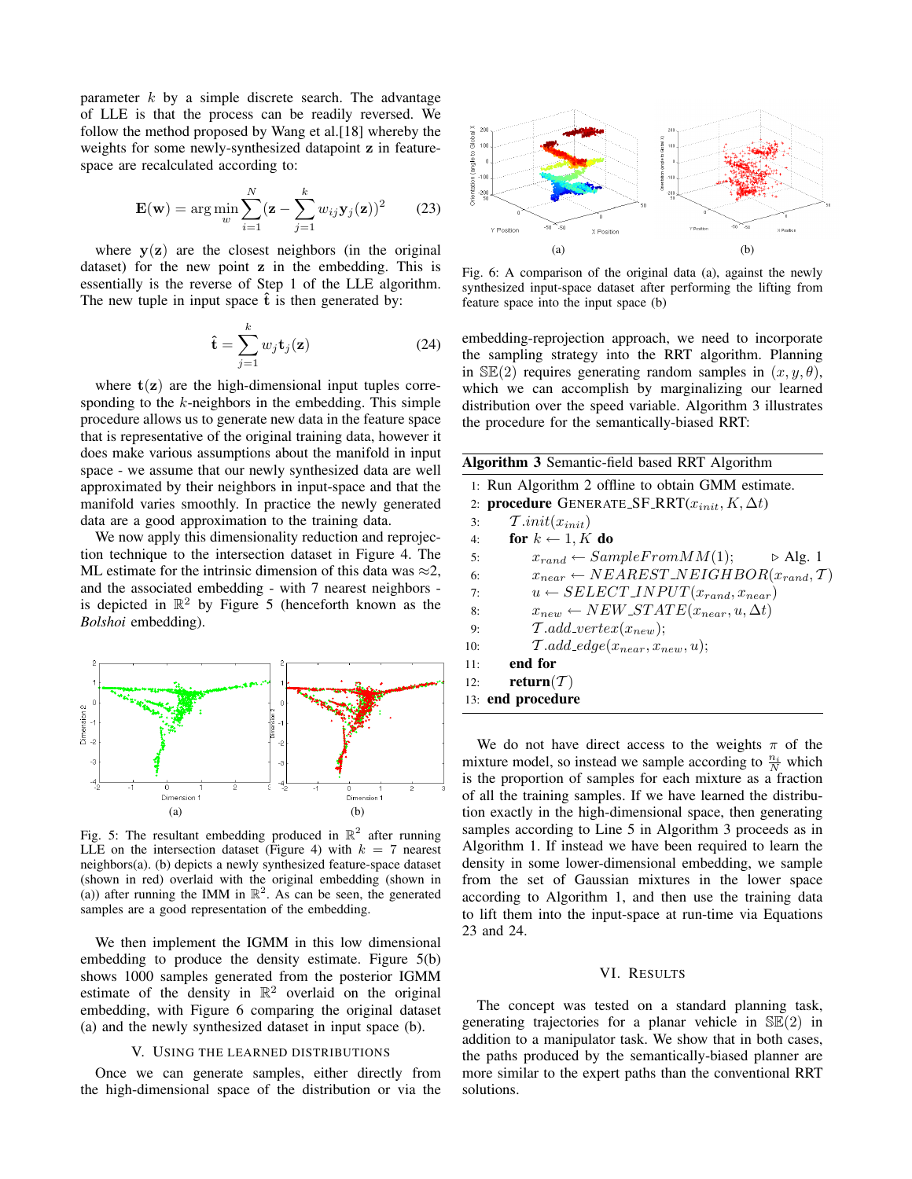parameter  $k$  by a simple discrete search. The advantage of LLE is that the process can be readily reversed. We follow the method proposed by Wang et al.[18] whereby the weights for some newly-synthesized datapoint z in featurespace are recalculated according to:

$$
\mathbf{E}(\mathbf{w}) = \arg\min_{w} \sum_{i=1}^{N} (\mathbf{z} - \sum_{j=1}^{k} w_{ij} \mathbf{y}_j(\mathbf{z}))^2
$$
 (23)

where  $y(z)$  are the closest neighbors (in the original dataset) for the new point z in the embedding. This is essentially is the reverse of Step 1 of the LLE algorithm. The new tuple in input space  $\hat{t}$  is then generated by:

$$
\hat{\mathbf{t}} = \sum_{j=1}^{k} w_j \mathbf{t}_j(\mathbf{z})
$$
 (24)

where  $t(z)$  are the high-dimensional input tuples corresponding to the  $k$ -neighbors in the embedding. This simple procedure allows us to generate new data in the feature space that is representative of the original training data, however it does make various assumptions about the manifold in input space - we assume that our newly synthesized data are well approximated by their neighbors in input-space and that the manifold varies smoothly. In practice the newly generated data are a good approximation to the training data.

We now apply this dimensionality reduction and reprojection technique to the intersection dataset in Figure 4. The ML estimate for the intrinsic dimension of this data was  $\approx 2$ , and the associated embedding - with 7 nearest neighbors is depicted in  $\mathbb{R}^2$  by Figure 5 (henceforth known as the *Bolshoi* embedding).



Fig. 5: The resultant embedding produced in  $\mathbb{R}^2$  after running LLE on the intersection dataset (Figure 4) with  $k = 7$  nearest neighbors(a). (b) depicts a newly synthesized feature-space dataset (shown in red) overlaid with the original embedding (shown in (a)) after running the IMM in  $\mathbb{R}^2$ . As can be seen, the generated samples are a good representation of the embedding.

We then implement the IGMM in this low dimensional embedding to produce the density estimate. Figure 5(b) shows 1000 samples generated from the posterior IGMM estimate of the density in  $\mathbb{R}^2$  overlaid on the original embedding, with Figure 6 comparing the original dataset (a) and the newly synthesized dataset in input space (b).

#### V. USING THE LEARNED DISTRIBUTIONS

Once we can generate samples, either directly from the high-dimensional space of the distribution or via the



Fig. 6: A comparison of the original data (a), against the newly synthesized input-space dataset after performing the lifting from feature space into the input space (b)

embedding-reprojection approach, we need to incorporate the sampling strategy into the RRT algorithm. Planning in  $\mathbb{SE}(2)$  requires generating random samples in  $(x, y, \theta)$ , which we can accomplish by marginalizing our learned distribution over the speed variable. Algorithm 3 illustrates the procedure for the semantically-biased RRT:

| <b>Algorithm 3</b> Semantic-field based RRT Algorithm                   |  |  |
|-------------------------------------------------------------------------|--|--|
| 1: Run Algorithm 2 offline to obtain GMM estimate.                      |  |  |
| 2: <b>procedure</b> GENERATE_SF_RRT $(x_{init}, K, \Delta t)$           |  |  |
| $\mathcal{T}.init(x_{init})$<br>3:                                      |  |  |
| for $k \leftarrow 1, K$ do<br>4:                                        |  |  |
| $x_{rand} \leftarrow SampleFromMM(1);$<br>$\triangleright$ Alg. 1<br>5: |  |  |
| $x_{near} \leftarrow NEAREST\_NEIGHBOR(x_{rand}, T)$<br>6:              |  |  |
| $u \leftarrow SELECT\_INPUT(x_{rand}, x_{near})$<br>7:                  |  |  |
| $x_{new} \leftarrow NEW \, \text{STATE}(x_{near}, u, \Delta t)$<br>8:   |  |  |
| $\mathcal{T}.add\_vertex(x_{new});$<br>9:                               |  |  |
| $\mathcal{T}.add\_edge(x_{near}, x_{new}, u);$<br>10:                   |  |  |
| end for<br>11:                                                          |  |  |
| return( $\mathcal T$ )<br>12:                                           |  |  |
| 13: end procedure                                                       |  |  |

We do not have direct access to the weights  $\pi$  of the mixture model, so instead we sample according to  $\frac{n_i}{N}$  which is the proportion of samples for each mixture as a fraction of all the training samples. If we have learned the distribution exactly in the high-dimensional space, then generating samples according to Line 5 in Algorithm 3 proceeds as in Algorithm 1. If instead we have been required to learn the density in some lower-dimensional embedding, we sample from the set of Gaussian mixtures in the lower space according to Algorithm 1, and then use the training data to lift them into the input-space at run-time via Equations 23 and 24.

## VI. RESULTS

The concept was tested on a standard planning task, generating trajectories for a planar vehicle in  $\mathbb{SE}(2)$  in addition to a manipulator task. We show that in both cases, the paths produced by the semantically-biased planner are more similar to the expert paths than the conventional RRT solutions.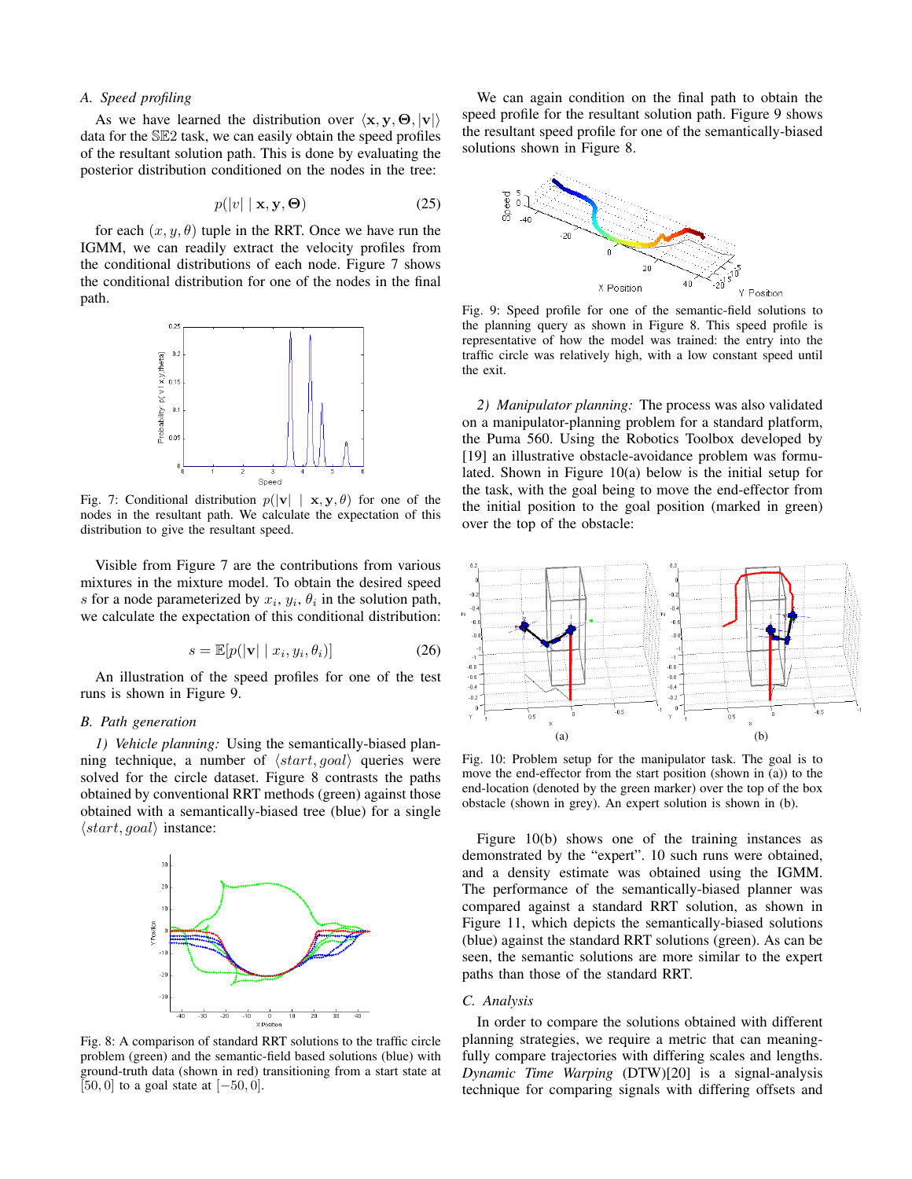## *A. Speed profiling*

As we have learned the distribution over  $\langle x, y, \Theta, |v|\rangle$ data for the SE2 task, we can easily obtain the speed profiles of the resultant solution path. This is done by evaluating the posterior distribution conditioned on the nodes in the tree:

$$
p(|v| \mid \mathbf{x}, \mathbf{y}, \mathbf{\Theta}) \tag{25}
$$

for each  $(x, y, \theta)$  tuple in the RRT. Once we have run the IGMM, we can readily extract the velocity profiles from the conditional distributions of each node. Figure 7 shows the conditional distribution for one of the nodes in the final path.



Fig. 7: Conditional distribution  $p(|{\bf v}| \mid {\bf x}, {\bf y}, \theta)$  for one of the nodes in the resultant path. We calculate the expectation of this distribution to give the resultant speed.

Visible from Figure 7 are the contributions from various mixtures in the mixture model. To obtain the desired speed s for a node parameterized by  $x_i$ ,  $y_i$ ,  $\theta_i$  in the solution path, we calculate the expectation of this conditional distribution:

$$
s = \mathbb{E}[p(|\mathbf{v}| \mid x_i, y_i, \theta_i)] \tag{26}
$$

An illustration of the speed profiles for one of the test runs is shown in Figure 9.

## *B. Path generation*

*1) Vehicle planning:* Using the semantically-biased planning technique, a number of  $\langle start, goal \rangle$  queries were solved for the circle dataset. Figure 8 contrasts the paths obtained by conventional RRT methods (green) against those obtained with a semantically-biased tree (blue) for a single  $\langle start, goal \rangle$  instance:



Fig. 8: A comparison of standard RRT solutions to the traffic circle problem (green) and the semantic-field based solutions (blue) with ground-truth data (shown in red) transitioning from a start state at [50, 0] to a goal state at  $[-50, 0]$ .

We can again condition on the final path to obtain the speed profile for the resultant solution path. Figure 9 shows the resultant speed profile for one of the semantically-biased solutions shown in Figure 8.



Fig. 9: Speed profile for one of the semantic-field solutions to the planning query as shown in Figure 8. This speed profile is representative of how the model was trained: the entry into the traffic circle was relatively high, with a low constant speed until the exit.

*2) Manipulator planning:* The process was also validated on a manipulator-planning problem for a standard platform, the Puma 560. Using the Robotics Toolbox developed by [19] an illustrative obstacle-avoidance problem was formulated. Shown in Figure 10(a) below is the initial setup for the task, with the goal being to move the end-effector from the initial position to the goal position (marked in green) over the top of the obstacle:



Fig. 10: Problem setup for the manipulator task. The goal is to move the end-effector from the start position (shown in (a)) to the end-location (denoted by the green marker) over the top of the box obstacle (shown in grey). An expert solution is shown in (b).

Figure 10(b) shows one of the training instances as demonstrated by the "expert". 10 such runs were obtained, and a density estimate was obtained using the IGMM. The performance of the semantically-biased planner was compared against a standard RRT solution, as shown in Figure 11, which depicts the semantically-biased solutions (blue) against the standard RRT solutions (green). As can be seen, the semantic solutions are more similar to the expert paths than those of the standard RRT.

#### *C. Analysis*

In order to compare the solutions obtained with different planning strategies, we require a metric that can meaningfully compare trajectories with differing scales and lengths. *Dynamic Time Warping* (DTW)[20] is a signal-analysis technique for comparing signals with differing offsets and